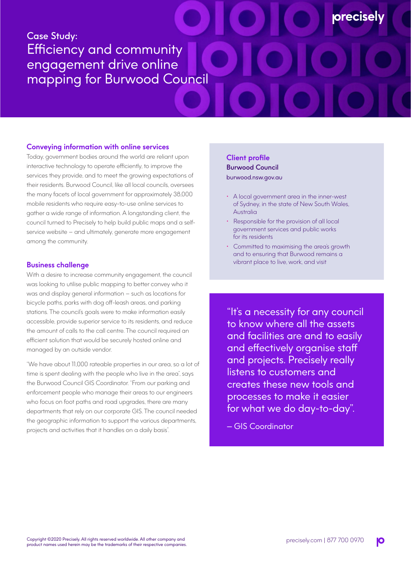# Case Study: Efficiency and community engagement drive online mapping for Burwood Council

## **Conveying information with online services**

Today, government bodies around the world are reliant upon interactive technology to operate efficiently, to improve the services they provide, and to meet the growing expectations of their residents. Burwood Council, like all local councils, oversees the many facets of local government for approximately 38,000 mobile residents who require easy-to-use online services to gather a wide range of information. A longstanding client, the council turned to Precisely to help build public maps and a selfservice website – and ultimately, generate more engagement among the community.

## **Business challenge**

With a desire to increase community engagement, the council was looking to utilise public mapping to better convey who it was and display general information – such as locations for bicycle paths, parks with dog off-leash areas, and parking stations. The council's goals were to make information easily accessible, provide superior service to its residents, and reduce the amount of calls to the call centre. The council required an efficient solution that would be securely hosted online and managed by an outside vendor.

"We have about 11,000 rateable properties in our area, so a lot of time is spent dealing with the people who live in the area", says the Burwood Council GIS Coordinator. "From our parking and enforcement people who manage their areas to our engineers who focus on foot paths and road upgrades, there are many departments that rely on our corporate GIS. The council needed the geographic information to support the various departments, projects and activities that it handles on a daily basis".

# **Client profile** Burwood Council burwood.nsw.gov.au

• A local government area in the inner-west of Sydney, in the state of New South Wales, Australia

**orecisel** 

- Responsible for the provision of all local government services and public works for its residents
- Committed to maximising the area's growth and to ensuring that Burwood remains a vibrant place to live, work, and visit

"It's a necessity for any council to know where all the assets and facilities are and to easily and effectively organise staff and projects. Precisely really listens to customers and creates these new tools and processes to make it easier for what we do day-to-day".

— GIS Coordinator